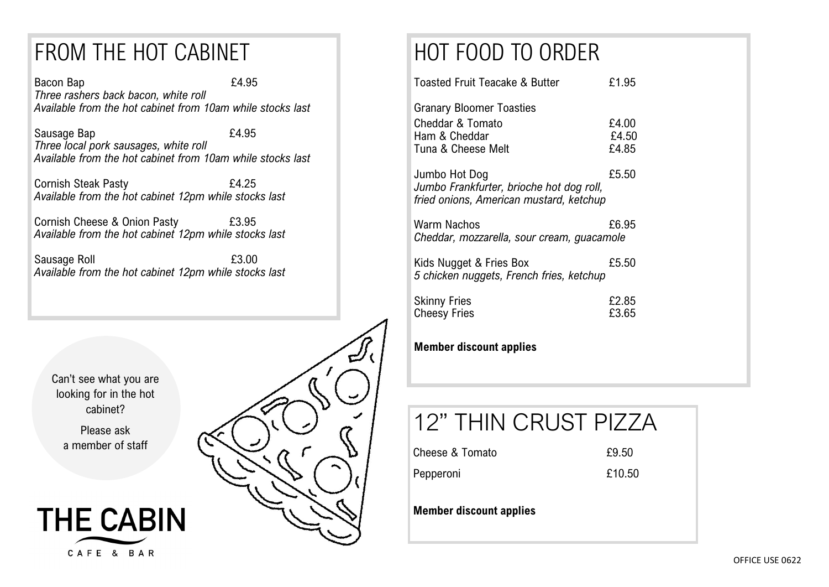### FROM THE HOT CABINET

Bacon Bap **E4.95** *Three rashers back bacon, white roll Available from the hot cabinet from 10am while stocks last*

Sausage Bap **EXALL** *Three local pork sausages, white roll Available from the hot cabinet from 10am while stocks last*

Cornish Steak Pasty **E4.25** *Available from the hot cabinet 12pm while stocks last*

Cornish Cheese & Onion Pasty £3.95 *Available from the hot cabinet 12pm while stocks last*

Sausage Roll **E3.00** *Available from the hot cabinet 12pm while stocks last*

Can't see what you are looking for in the hot cabinet?

> Please ask a member of staff



# HOT FOOD TO ORDER

| Toasted Fruit Teacake & Butter                                                                       | £1.95                   |
|------------------------------------------------------------------------------------------------------|-------------------------|
| Granary Bloomer Toasties<br>Cheddar & Tomato<br>Ham & Cheddar<br>Tuna & Cheese Melt                  | £4.00<br>£4.50<br>£4.85 |
| Jumbo Hot Dog<br>Jumbo Frankfurter, brioche hot dog roll,<br>fried onions, American mustard, ketchup | £5.50                   |
| Warm Nachos<br>Cheddar, mozzarella, sour cream, guacamole                                            | £6.95                   |
| Kids Nugget & Fries Box<br>5 chicken nuggets, French fries, ketchup                                  | £5.50                   |
| <b>Skinny Fries</b><br><b>Cheesy Fries</b>                                                           | £2.85<br>£3.65          |
| والمستحام والمحور<br>м.                                                                              |                         |

#### **Member discount applies**

## 12" THIN CRUST PIZZA

Cheese & Tomato 69.50

Pepperoni **£10.50** 

**Member discount applies**